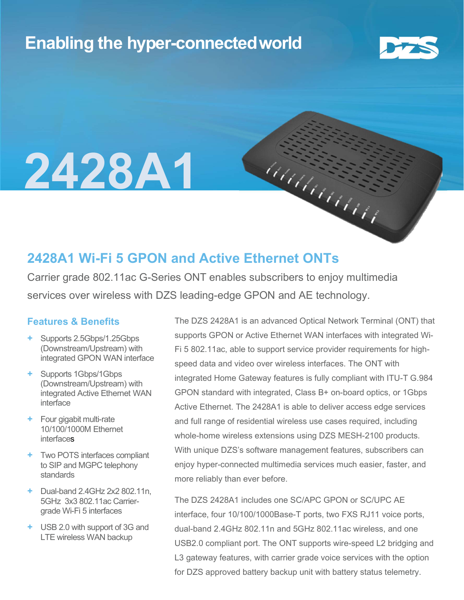## Enabling the hyper-connectedworld



# 2428A1

### 2428A1 Wi-Fi 5 GPON and Active Ethernet ONTs

Carrier grade 802.11ac G-Series ONT enables subscribers to enjoy multimedia services over wireless with DZS leading-edge GPON and AE technology.

#### Features & Benefits

- + Supports 2.5Gbps/1.25Gbps (Downstream/Upstream) with integrated GPON WAN interface
- + Supports 1Gbps/1Gbps (Downstream/Upstream) with integrated Active Ethernet WAN interface
- + Four gigabit multi-rate 10/100/1000M Ethernet **interfaces**
- + Two POTS interfaces compliant to SIP and MGPC telephony standards
- + Dual-band 2.4GHz 2x2 802.11n, 5GHz 3x3 802.11ac Carriergrade Wi-Fi 5 interfaces
- + USB 2.0 with support of 3G and LTE wireless WAN backup

The DZS 2428A1 is an advanced Optical Network Terminal (ONT) that supports GPON or Active Ethernet WAN interfaces with integrated Wi-Fi 5 802.11ac, able to support service provider requirements for highspeed data and video over wireless interfaces. The ONT with integrated Home Gateway features is fully compliant with ITU-T G.984 GPON standard with integrated, Class B+ on-board optics, or 1Gbps Active Ethernet. The 2428A1 is able to deliver access edge services and full range of residential wireless use cases required, including whole-home wireless extensions using DZS MESH-2100 products. With unique DZS's software management features, subscribers can enjoy hyper-connected multimedia services much easier, faster, and more reliably than ever before.

MARAMANA

The DZS 2428A1 includes one SC/APC GPON or SC/UPC AE interface, four 10/100/1000Base-T ports, two FXS RJ11 voice ports, dual-band 2.4GHz 802.11n and 5GHz 802.11ac wireless, and one USB2.0 compliant port. The ONT supports wire-speed L2 bridging and L3 gateway features, with carrier grade voice services with the option for DZS approved battery backup unit with battery status telemetry.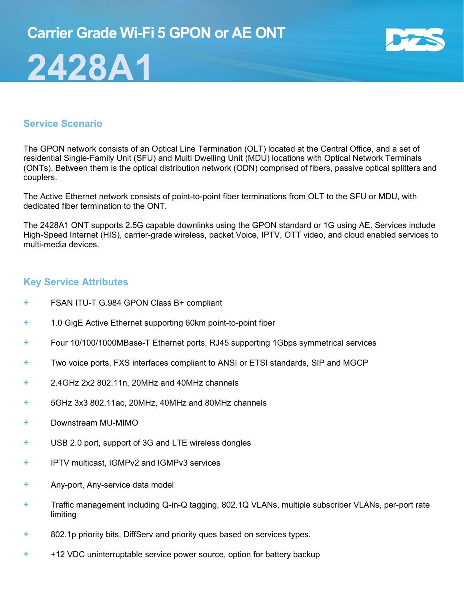

#### Service Scenario

2428A1

The GPON network consists of an Optical Line Termination (OLT) located at the Central Office, and a set of residential Single-Family Unit (SFU) and Multi Dwelling Unit (MDU) locations with Optical Network Terminals (ONTs). Between them is the optical distribution network (ODN) comprised of fibers, passive optical splitters and couplers.

The Active Ethernet network consists of point-to-point fiber terminations from OLT to the SFU or MDU, with dedicated fiber termination to the ONT.

The 2428A1 ONT supports 2.5G capable downlinks using the GPON standard or 1G using AE. Services include High-Speed Internet (HIS), carrier-grade wireless, packet Voice, IPTV, OTT video, and cloud enabled services to multi-media devices.

#### Key Service Attributes

- + FSAN ITU-T G.984 GPON Class B+ compliant
- + 1.0 GigE Active Ethernet supporting 60km point-to-point fiber
- + Four 10/100/1000MBase-T Ethernet ports, RJ45 supporting 1Gbps symmetrical services
- + Two voice ports, FXS interfaces compliant to ANSI or ETSI standards, SIP and MGCP
- + 2.4GHz 2x2 802.11n, 20MHz and 40MHz channels
- + 5GHz 3x3 802.11ac, 20MHz, 40MHz and 80MHz channels
- + Downstream MU-MIMO
- + USB 2.0 port, support of 3G and LTE wireless dongles
- + IPTV multicast, IGMPv2 and IGMPv3 services
- + Any-port, Any-service data model
- + Traffic management including Q-in-Q tagging, 802.1Q VLANs, multiple subscriber VLANs, per-port rate limiting
- + 802.1p priority bits, DiffServ and priority ques based on services types.
- + +12 VDC uninterruptable service power source, option for battery backup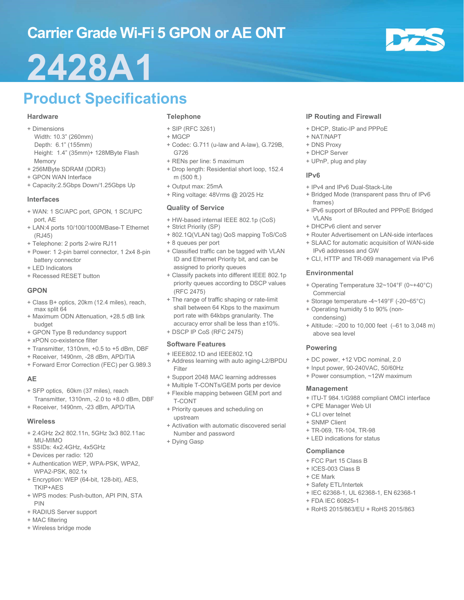## Carrier Grade Wi-Fi 5 GPON or AE ONT

## 2428A1

## Product Specifications

#### **Hardware**

- + Dimensions
	- Width: 10.3" (260mm) Depth: 6.1" (155mm) Height: 1.4" (35mm)+ 128MByte Flash Memory
- + 256MByte SDRAM (DDR3)
- + GPON WAN Interface
- + Capacity:2.5Gbps Down/1.25Gbps Up

#### Interfaces

- + WAN: 1 SC/APC port, GPON, 1 SC/UPC port, AE
- + LAN:4 ports 10/100/1000MBase-T Ethernet (RJ45)
- + Telephone: 2 ports 2-wire RJ11
- + Power: 1 2-pin barrel connector, 1 2x4 8-pin battery connector
- + LED Indicators
- + Recessed RESET button

#### GPON

- + Class B+ optics, 20km (12.4 miles), reach, max split 64
- + Maximum ODN Attenuation, +28.5 dB link budget
- + GPON Type B redundancy support
- + xPON co-existence filter
- + Transmitter, 1310nm, +0.5 to +5 dBm, DBF
- + Receiver, 1490nm, -28 dBm, APD/TIA
- + Forward Error Correction (FEC) per G.989.3

#### AE

- + SFP optics, 60km (37 miles), reach Transmitter, 1310nm, -2.0 to +8.0 dBm, DBF
- + Receiver, 1490nm, -23 dBm, APD/TIA

#### **Wireless**

- + 2.4GHz 2x2 802.11n, 5GHz 3x3 802.11ac MU-MIMO
- + SSIDs: 4x2.4GHz, 4x5GHz
- + Devices per radio: 120
- + Authentication WEP, WPA-PSK, WPA2, WPA2-PSK, 802.1x
- + Encryption: WEP (64-bit, 128-bit), AES, TKIP+AES
- + WPS modes: Push-button, API PIN, STA PIN
- + RADIUS Server support
- + MAC filtering
- + Wireless bridge mode

#### Telephone

- + SIP (RFC 3261)
- + MGCP
- + Codec: G.711 (u-law and A-law), G.729B, G726
- + RENs per line: 5 maximum
- + Drop length: Residential short loop, 152.4 m (500 ft.)
- + Output max: 25mA
- + Ring voltage: 48Vrms @ 20/25 Hz

#### Quality of Service

- + HW-based internal IEEE 802.1p (CoS)
- + Strict Priority (SP)
- + 802.1Q(VLAN tag) QoS mapping ToS/CoS
- + 8 queues per port
- + Classified traffic can be tagged with VLAN ID and Ethernet Priority bit, and can be assigned to priority queues
- + Classify packets into different IEEE 802.1p priority queues according to DSCP values (RFC 2475)
- + The range of traffic shaping or rate-limit shall between 64 Kbps to the maximum port rate with 64kbps granularity. The accuracy error shall be less than ±10%.
- + DSCP IP CoS (RFC 2475)

#### Software Features

- + IEEE802.1D and IEEE802.1Q
- + Address learning with auto aging-L2/BPDU Filter
- + Support 2048 MAC learning addresses
- + Multiple T-CONTs/GEM ports per device
- + Flexible mapping between GEM port and T-CONT
- + Priority queues and scheduling on upstream
- + Activation with automatic discovered serial Number and password
- + Dying Gasp

#### IP Routing and Firewall

- + DHCP, Static-IP and PPPoE
- + NAT/NAPT
- + DNS Proxy
- + DHCP Server
- + UPnP, plug and play

#### IPv6

- + IPv4 and IPv6 Dual-Stack-Lite
- + Bridged Mode (transparent pass thru of IPv6 frames)
- + IPv6 support of BRouted and PPPoE Bridged VI AN<sub>s</sub>
- + DHCPv6 client and server
- + Router Advertisement on LAN-side interfaces + SLAAC for automatic acquisition of WAN-side
- IPv6 addresses and GW + CLI, HTTP and TR-069 management via IPv6

#### Environmental

- + Operating Temperature 32~104°F (0~+40°C) **Commercial**
- + Storage temperature -4~149°F (-20~65°C)
- + Operating humidity 5 to 90% (noncondensing)
- + Altitude: –200 to 10,000 feet (–61 to 3,048 m) above sea level

#### Powering

- + DC power, +12 VDC nominal, 2.0
- + Input power, 90-240VAC, 50/60Hz
- + Power consumption, ~12W maximum

#### Management

- + ITU-T 984.1/G988 compliant OMCI interface
- + CPE Manager Web UI
- + CLI over telnet
- + SNMP Client
- + TR-069, TR-104, TR-98
- + LED indications for status

#### **Compliance**

- + FCC Part 15 Class B
- + ICES-003 Class B
- + CE Mark
- + Safety ETL/Intertek
- + IEC 62368-1, UL 62368-1, EN 62368-1
- + FDA IEC 60825-1
- + RoHS 2015/863/EU + RoHS 2015/863